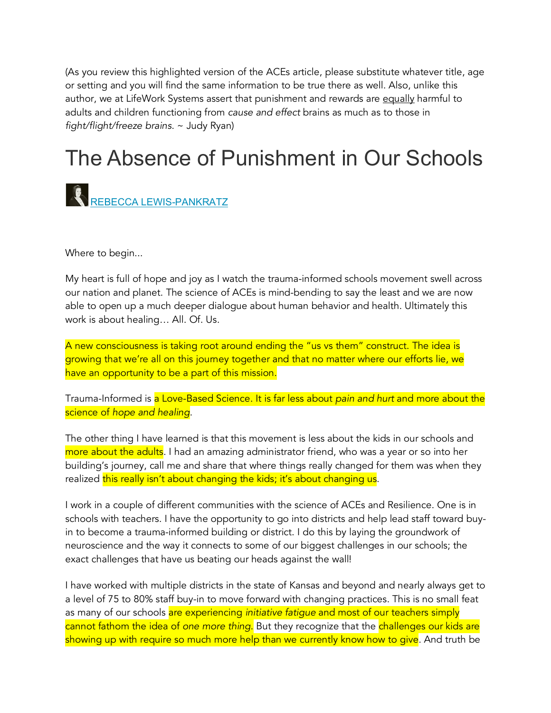(As you review this highlighted version of the ACEs article, please substitute whatever title, age or setting and you will find the same information to be true there as well. Also, unlike this author, we at LifeWork Systems assert that punishment and rewards are equally harmful to adults and children functioning from *cause and effect* brains as much as to those in *fight/flight/freeze brains*. ~ Judy Ryan)

## The Absence of Punishment in Our Schools



Where to begin...

My heart is full of hope and joy as I watch the trauma-informed schools movement swell across our nation and planet. The science of ACEs is mind-bending to say the least and we are now able to open up a much deeper dialogue about human behavior and health. Ultimately this work is about healing… All. Of. Us.

A new consciousness is taking root around ending the "us vs them" construct. The idea is growing that we're all on this journey together and that no matter where our efforts lie, we have an opportunity to be a part of this mission.

Trauma-Informed is a Love-Based Science. It is far less about *pain and hurt* and more about the science of *hope and healing*.

The other thing I have learned is that this movement is less about the kids in our schools and more about the adults. I had an amazing administrator friend, who was a year or so into her building's journey, call me and share that where things really changed for them was when they realized this really isn't about changing the kids; it's about changing us.

I work in a couple of different communities with the science of ACEs and Resilience. One is in schools with teachers. I have the opportunity to go into districts and help lead staff toward buyin to become a trauma-informed building or district. I do this by laying the groundwork of neuroscience and the way it connects to some of our biggest challenges in our schools; the exact challenges that have us beating our heads against the wall!

I have worked with multiple districts in the state of Kansas and beyond and nearly always get to a level of 75 to 80% staff buy-in to move forward with changing practices. This is no small feat as many of our schools are experiencing *initiative fatigue* and most of our teachers simply cannot fathom the idea of *one more thing*. But they recognize that the challenges our kids are showing up with require so much more help than we currently know how to give. And truth be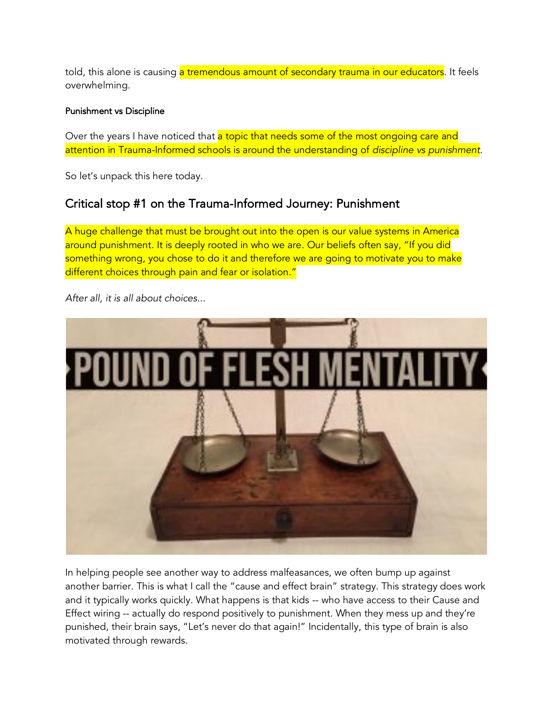told, this alone is causing a tremendous amount of secondary trauma in our educators. It feels overwhelming.

## Punishment vs Discipline

Over the years I have noticed that a topic that needs some of the most ongoing care and attention in Trauma-Informed schools is around the understanding of *discipline vs punishment*.

So let's unpack this here today.

## Critical stop #1 on the Trauma-Informed Journey: Punishment

A huge challenge that must be brought out into the open is our value systems in America around punishment. It is deeply rooted in who we are. Our beliefs often say, "If you did something wrong, you chose to do it and therefore we are going to motivate you to make different choices through pain and fear or isolation."



*After all, it is all about choices*...

In helping people see another way to address malfeasances, we often bump up against another barrier. This is what I call the "cause and effect brain" strategy. This strategy does work and it typically works quickly. What happens is that kids -- who have access to their Cause and Effect wiring -- actually do respond positively to punishment. When they mess up and they're punished, their brain says, "Let's never do that again!" Incidentally, this type of brain is also motivated through rewards.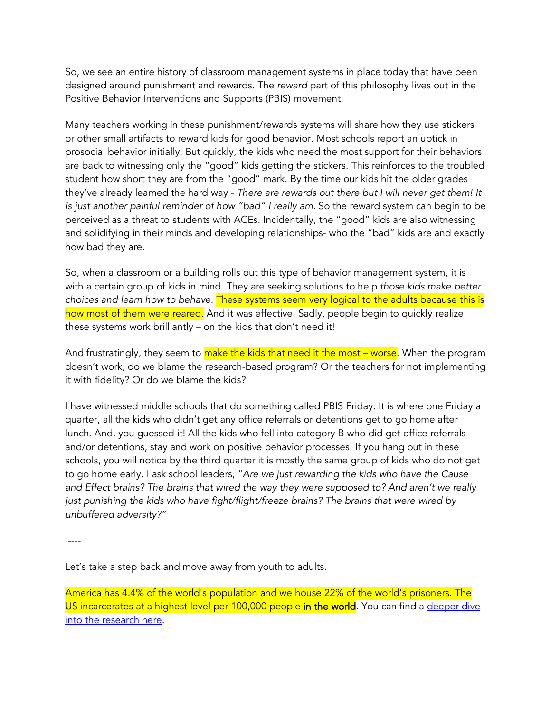So, we see an entire history of classroom management systems in place today that have been designed around punishment and rewards. The *reward* part of this philosophy lives out in the Positive Behavior Interventions and Supports (PBIS) movement.

Many teachers working in these punishment/rewards systems will share how they use stickers or other small artifacts to reward kids for good behavior. Most schools report an uptick in prosocial behavior initially. But quickly, the kids who need the most support for their behaviors are back to witnessing only the "good" kids getting the stickers. This reinforces to the troubled student how short they are from the "good" mark. By the time our kids hit the older grades they've already learned the hard way - *There are rewards out there but I will never get them! It is just another painful reminder of how "bad" I really am.* So the reward system can begin to be perceived as a threat to students with ACEs. Incidentally, the "good" kids are also witnessing and solidifying in their minds and developing relationships- who the "bad" kids are and exactly how bad they are.

So, when a classroom or a building rolls out this type of behavior management system, it is with a certain group of kids in mind. They are seeking solutions to help *those kids make better choices and learn how to behave.* These systems seem very logical to the adults because this is how most of them were reared. And it was effective! Sadly, people begin to quickly realize these systems work brilliantly – on the kids that don't need it!

And frustratingly, they seem to make the kids that need it the most – worse. When the program doesn't work, do we blame the research-based program? Or the teachers for not implementing it with fidelity? Or do we blame the kids?

I have witnessed middle schools that do something called PBIS Friday. It is where one Friday a quarter, all the kids who didn't get any office referrals or detentions get to go home after lunch. And, you guessed it! All the kids who fell into category B who did get office referrals and/or detentions, stay and work on positive behavior processes. If you hang out in these schools, you will notice by the third quarter it is mostly the same group of kids who do not get to go home early. I ask school leaders, "*Are we just rewarding the kids who have the Cause and Effect brains? The brains that wired the way they were supposed to? And aren't we really just punishing the kids who have fight/flight/freeze brains? The brains that were wired by unbuffered adversity?"*

----

Let's take a step back and move away from youth to adults.

America has 4.4% of the world's population and we house 22% of the world's prisoners. The US incarcerates at a highest level per 100,000 people in the world. You can find a deeper dive into the research here.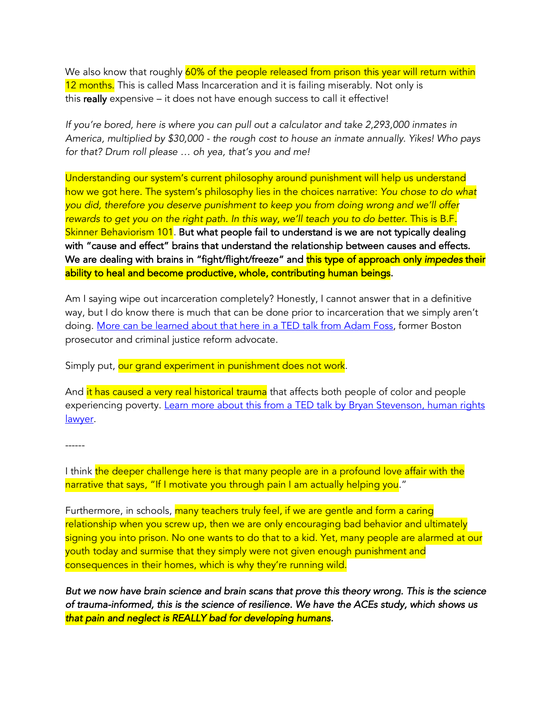We also know that roughly 60% of the people released from prison this year will return within 12 months. This is called Mass Incarceration and it is failing miserably. Not only is this really expensive – it does not have enough success to call it effective!

*If you're bored, here is where you can pull out a calculator and take 2,293,000 inmates in America, multiplied by \$30,000 - the rough cost to house an inmate annually. Yikes! Who pays for that? Drum roll please … oh yea, that's you and me!*

Understanding our system's current philosophy around punishment will help us understand how we got here. The system's philosophy lies in the choices narrative: *You chose to do what you did, therefore you deserve punishment to keep you from doing wrong and we'll offer rewards to get you on the right path. In this way, we'll teach you to do better.* This is B.F. Skinner Behaviorism 101. But what people fail to understand is we are not typically dealing with "cause and effect" brains that understand the relationship between causes and effects. We are dealing with brains in "fight/flight/freeze" and this type of approach only *impedes* their ability to heal and become productive, whole, contributing human beings.

Am I saying wipe out incarceration completely? Honestly, I cannot answer that in a definitive way, but I do know there is much that can be done prior to incarceration that we simply aren't doing. More can be learned about that here in a TED talk from Adam Foss, former Boston prosecutor and criminal justice reform advocate.

Simply put, our grand experiment in punishment does not work.

And it has caused a very real historical trauma that affects both people of color and people experiencing poverty. Learn more about this from a TED talk by Bryan Stevenson, human rights lawyer.

------

I think the deeper challenge here is that many people are in a profound love affair with the narrative that says, "If I motivate you through pain I am actually helping you."

Furthermore, in schools, many teachers truly feel, if we are gentle and form a caring relationship when you screw up, then we are only encouraging bad behavior and ultimately signing you into prison. No one wants to do that to a kid. Yet, many people are alarmed at our youth today and surmise that they simply were not given enough punishment and consequences in their homes, which is why they're running wild.

*But we now have brain science and brain scans that prove this theory wrong. This is the science of trauma-informed, this is the science of resilience. We have the ACEs study, which shows us that pain and neglect is REALLY bad for developing humans.*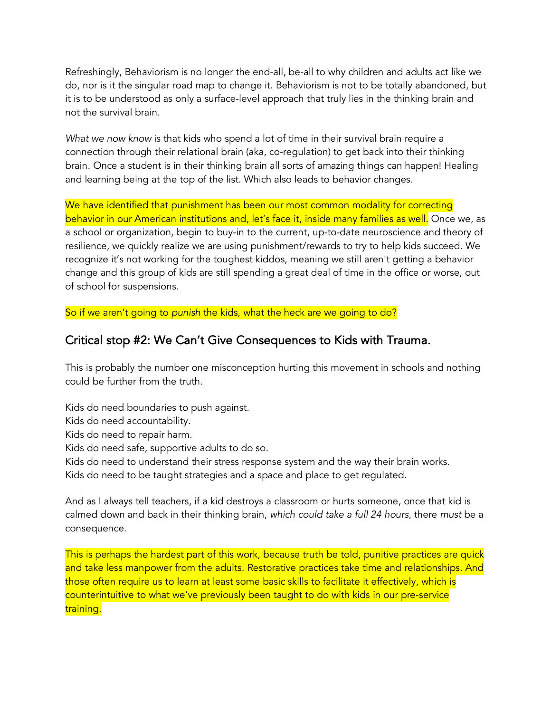Refreshingly, Behaviorism is no longer the end-all, be-all to why children and adults act like we do, nor is it the singular road map to change it. Behaviorism is not to be totally abandoned, but it is to be understood as only a surface-level approach that truly lies in the thinking brain and not the survival brain.

*What we now know* is that kids who spend a lot of time in their survival brain require a connection through their relational brain (aka, co-regulation) to get back into their thinking brain. Once a student is in their thinking brain all sorts of amazing things can happen! Healing and learning being at the top of the list. Which also leads to behavior changes.

We have identified that punishment has been our most common modality for correcting behavior in our American institutions and, let's face it, inside many families as well. Once we, as a school or organization, begin to buy-in to the current, up-to-date neuroscience and theory of resilience, we quickly realize we are using punishment/rewards to try to help kids succeed. We recognize it's not working for the toughest kiddos, meaning we still aren't getting a behavior change and this group of kids are still spending a great deal of time in the office or worse, out of school for suspensions.

So if we aren't going to *punish* the kids, what the heck are we going to do?

## Critical stop #2: We Can't Give Consequences to Kids with Trauma.

This is probably the number one misconception hurting this movement in schools and nothing could be further from the truth.

Kids do need boundaries to push against.

Kids do need accountability.

Kids do need to repair harm.

Kids do need safe, supportive adults to do so.

Kids do need to understand their stress response system and the way their brain works.

Kids do need to be taught strategies and a space and place to get regulated.

And as I always tell teachers, if a kid destroys a classroom or hurts someone, once that kid is calmed down and back in their thinking brain, *which could take a full 24 hours*, there *must* be a consequence.

This is perhaps the hardest part of this work, because truth be told, punitive practices are quick and take less manpower from the adults. Restorative practices take time and relationships. And those often require us to learn at least some basic skills to facilitate it effectively, which is counterintuitive to what we've previously been taught to do with kids in our pre-service training.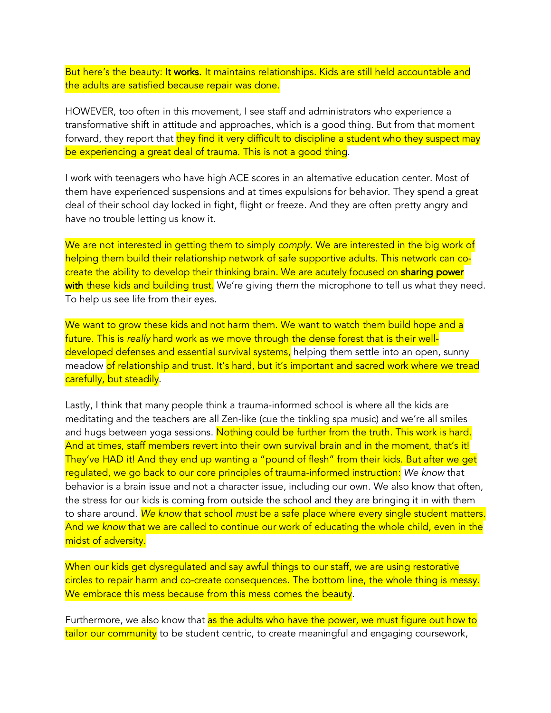But here's the beauty: It works. It maintains relationships. Kids are still held accountable and the adults are satisfied because repair was done.

HOWEVER, too often in this movement, I see staff and administrators who experience a transformative shift in attitude and approaches, which is a good thing. But from that moment forward, they report that they find it very difficult to discipline a student who they suspect may be experiencing a great deal of trauma. This is not a good thing.

I work with teenagers who have high ACE scores in an alternative education center. Most of them have experienced suspensions and at times expulsions for behavior. They spend a great deal of their school day locked in fight, flight or freeze. And they are often pretty angry and have no trouble letting us know it.

We are not interested in getting them to simply *comply*. We are interested in the big work of helping them build their relationship network of safe supportive adults. This network can cocreate the ability to develop their thinking brain. We are acutely focused on sharing power with these kids and building trust. We're giving them the microphone to tell us what they need. To help us see life from their eyes.

We want to grow these kids and not harm them. We want to watch them build hope and a future. This is *really* hard work as we move through the dense forest that is their welldeveloped defenses and essential survival systems, helping them settle into an open, sunny meadow of relationship and trust. It's hard, but it's important and sacred work where we tread carefully, but steadily.

Lastly, I think that many people think a trauma-informed school is where all the kids are meditating and the teachers are all Zen-like (cue the tinkling spa music) and we're all smiles and hugs between yoga sessions. Nothing could be further from the truth. This work is hard. And at times, staff members revert into their own survival brain and in the moment, that's it! They've HAD it! And they end up wanting a "pound of flesh" from their kids. But after we get regulated, we go back to our core principles of trauma-informed instruction: *We know* that behavior is a brain issue and not a character issue, including our own. We also know that often, the stress for our kids is coming from outside the school and they are bringing it in with them to share around. *We know* that school *must* be a safe place where every single student matters. And *we know* that we are called to continue our work of educating the whole child, even in the midst of adversity.

When our kids get dysregulated and say awful things to our staff, we are using restorative circles to repair harm and co-create consequences. The bottom line, the whole thing is messy. We embrace this mess because from this mess comes the beauty.

Furthermore, we also know that as the adults who have the power, we must figure out how to tailor our community to be student centric, to create meaningful and engaging coursework,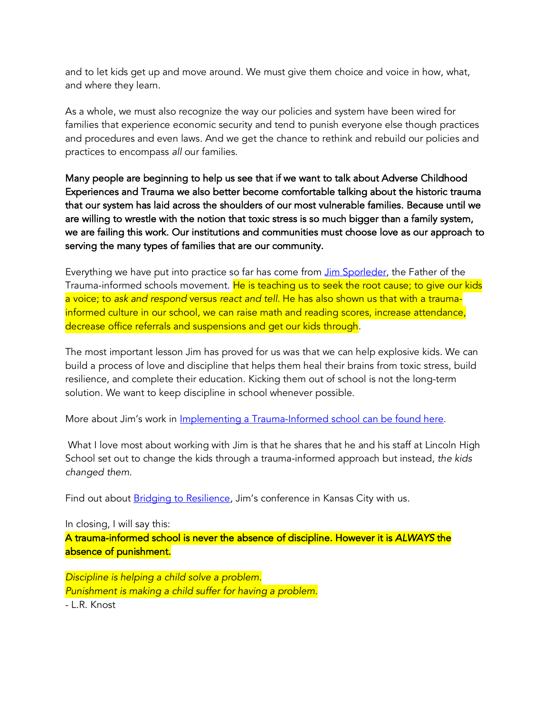and to let kids get up and move around. We must give them choice and voice in how, what, and where they learn.

As a whole, we must also recognize the way our policies and system have been wired for families that experience economic security and tend to punish everyone else though practices and procedures and even laws. And we get the chance to rethink and rebuild our policies and practices to encompass *all* our families.

Many people are beginning to help us see that if we want to talk about Adverse Childhood Experiences and Trauma we also better become comfortable talking about the historic trauma that our system has laid across the shoulders of our most vulnerable families. Because until we are willing to wrestle with the notion that toxic stress is so much bigger than a family system, we are failing this work. Our institutions and communities must choose love as our approach to serving the many types of families that are our community.

Everything we have put into practice so far has come from Jim Sporleder, the Father of the Trauma-informed schools movement. He is teaching us to seek the root cause; to give our kids a voice; to *ask and respond* versus *react and tell*. He has also shown us that with a traumainformed culture in our school, we can raise math and reading scores, increase attendance, decrease office referrals and suspensions and get our kids through.

The most important lesson Jim has proved for us was that we can help explosive kids. We can build a process of love and discipline that helps them heal their brains from toxic stress, build resilience, and complete their education. Kicking them out of school is not the long-term solution. We want to keep discipline in school whenever possible.

More about Jim's work in *Implementing a Trauma-Informed school can be found here*.

What I love most about working with Jim is that he shares that he and his staff at Lincoln High School set out to change the kids through a trauma-informed approach but instead, *the kids changed them.*

Find out about **Bridging to Resilience**, Jim's conference in Kansas City with us.

In closing, I will say this: A trauma-informed school is never the absence of discipline. However it is *ALWAYS* the absence of punishment.

*Discipline is helping a child solve a problem. Punishment is making a child suffer for having a problem.*

- L.R. Knost